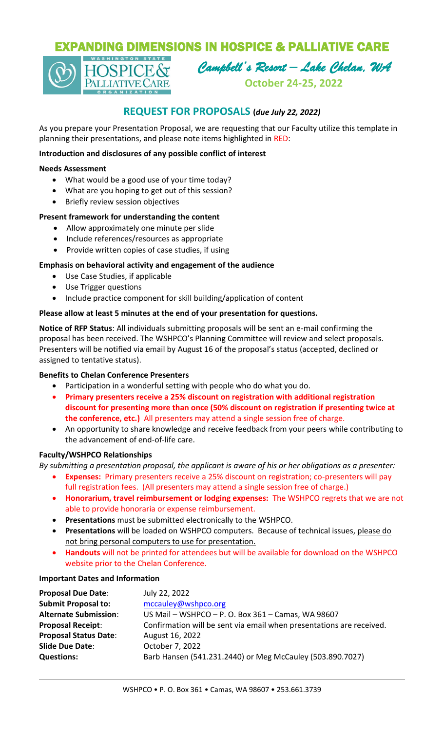# EXPANDING DIMENSIONS IN HOSPICE & PALLIATIVE CARE



*Campbell's Resort – Lake Chelan, WA* 

**October 24-25, 2022**

# **REQUEST FOR PROPOSALS (***due July 22, 2022)*

As you prepare your Presentation Proposal, we are requesting that our Faculty utilize this template in planning their presentations, and please note items highlighted in RED:

### **Introduction and disclosures of any possible conflict of interest**

#### **Needs Assessment**

- What would be a good use of your time today?
- What are you hoping to get out of this session?
- Briefly review session objectives

# **Present framework for understanding the content**

- Allow approximately one minute per slide
- Include references/resources as appropriate
- Provide written copies of case studies, if using

# **Emphasis on behavioral activity and engagement of the audience**

- Use Case Studies, if applicable
- Use Trigger questions
- Include practice component for skill building/application of content

# **Please allow at least 5 minutes at the end of your presentation for questions.**

**Notice of RFP Status**: All individuals submitting proposals will be sent an e-mail confirming the proposal has been received. The WSHPCO's Planning Committee will review and select proposals. Presenters will be notified via email by August 16 of the proposal's status (accepted, declined or assigned to tentative status).

#### **Benefits to Chelan Conference Presenters**

- Participation in a wonderful setting with people who do what you do.
- **Primary presenters receive a 25% discount on registration with additional registration discount for presenting more than once (50% discount on registration if presenting twice at the conference, etc.)** All presenters may attend a single session free of charge.
- An opportunity to share knowledge and receive feedback from your peers while contributing to the advancement of end-of-life care.

#### **Faculty/WSHPCO Relationships**

*By submitting a presentation proposal, the applicant is aware of his or her obligations as a presenter:*

- **Expenses:** Primary presenters receive a 25% discount on registration; co-presenters will pay full registration fees. (All presenters may attend a single session free of charge.)
- **Honorarium, travel reimbursement or lodging expenses:** The WSHPCO regrets that we are not able to provide honoraria or expense reimbursement.
- **Presentations** must be submitted electronically to the WSHPCO.
- **Presentations** will be loaded on WSHPCO computers. Because of technical issues, please do not bring personal computers to use for presentation.
- **Handouts** will not be printed for attendees but will be available for download on the WSHPCO website prior to the Chelan Conference.

#### **Important Dates and Information**

| <b>Proposal Due Date:</b>    | July 22, 2022                                                        |
|------------------------------|----------------------------------------------------------------------|
| <b>Submit Proposal to:</b>   | mccauley@wshpco.org                                                  |
| <b>Alternate Submission:</b> | US Mail - WSHPCO - P. O. Box 361 - Camas, WA 98607                   |
| <b>Proposal Receipt:</b>     | Confirmation will be sent via email when presentations are received. |
| <b>Proposal Status Date:</b> | August 16, 2022                                                      |
| <b>Slide Due Date:</b>       | October 7, 2022                                                      |
| <b>Questions:</b>            | Barb Hansen (541.231.2440) or Meg McCauley (503.890.7027)            |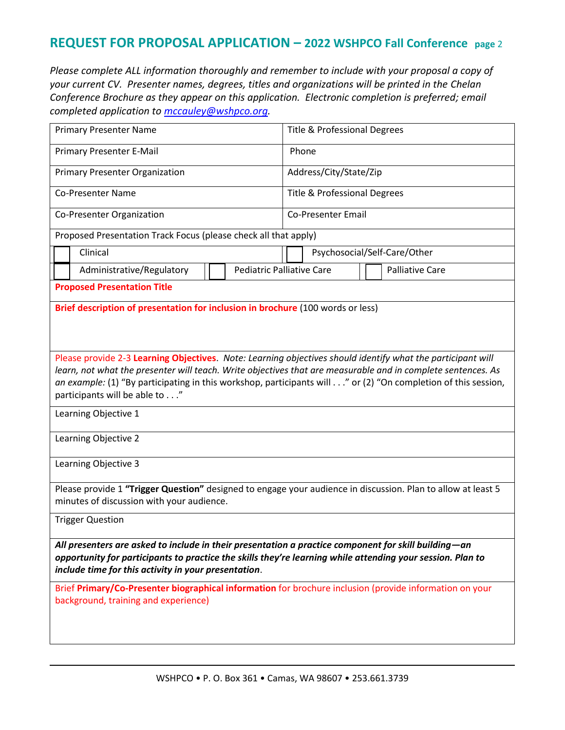# **REQUEST FOR PROPOSAL APPLICATION – 2022 WSHPCO Fall Conference page** <sup>2</sup>

*Please complete ALL information thoroughly and remember to include with your proposal a copy of your current CV. Presenter names, degrees, titles and organizations will be printed in the Chelan Conference Brochure as they appear on this application. Electronic completion is preferred; email completed application to [mccauley@wshpco.org.](file:///C:/Users/Home/AppData/Local/Microsoft/Windows/INetCache/Content.Outlook/HNKW19YR/mccauley@wshpco.org)* 

| <b>Primary Presenter Name</b>                                                                                                                                                                                                                                                                                                                                                 | <b>Title &amp; Professional Degrees</b>                    |  |  |  |  |
|-------------------------------------------------------------------------------------------------------------------------------------------------------------------------------------------------------------------------------------------------------------------------------------------------------------------------------------------------------------------------------|------------------------------------------------------------|--|--|--|--|
| Primary Presenter E-Mail                                                                                                                                                                                                                                                                                                                                                      | Phone                                                      |  |  |  |  |
| <b>Primary Presenter Organization</b>                                                                                                                                                                                                                                                                                                                                         | Address/City/State/Zip                                     |  |  |  |  |
| <b>Co-Presenter Name</b>                                                                                                                                                                                                                                                                                                                                                      | Title & Professional Degrees                               |  |  |  |  |
| Co-Presenter Organization                                                                                                                                                                                                                                                                                                                                                     | <b>Co-Presenter Email</b>                                  |  |  |  |  |
| Proposed Presentation Track Focus (please check all that apply)                                                                                                                                                                                                                                                                                                               |                                                            |  |  |  |  |
| Clinical                                                                                                                                                                                                                                                                                                                                                                      | Psychosocial/Self-Care/Other                               |  |  |  |  |
| Administrative/Regulatory                                                                                                                                                                                                                                                                                                                                                     | <b>Pediatric Palliative Care</b><br><b>Palliative Care</b> |  |  |  |  |
| <b>Proposed Presentation Title</b>                                                                                                                                                                                                                                                                                                                                            |                                                            |  |  |  |  |
| Brief description of presentation for inclusion in brochure (100 words or less)                                                                                                                                                                                                                                                                                               |                                                            |  |  |  |  |
| Please provide 2-3 Learning Objectives. Note: Learning objectives should identify what the participant will<br>learn, not what the presenter will teach. Write objectives that are measurable and in complete sentences. As<br>an example: (1) "By participating in this workshop, participants will" or (2) "On completion of this session,<br>participants will be able to" |                                                            |  |  |  |  |
| Learning Objective 1                                                                                                                                                                                                                                                                                                                                                          |                                                            |  |  |  |  |
| Learning Objective 2                                                                                                                                                                                                                                                                                                                                                          |                                                            |  |  |  |  |
| Learning Objective 3                                                                                                                                                                                                                                                                                                                                                          |                                                            |  |  |  |  |
| Please provide 1 "Trigger Question" designed to engage your audience in discussion. Plan to allow at least 5<br>minutes of discussion with your audience.                                                                                                                                                                                                                     |                                                            |  |  |  |  |
| <b>Trigger Question</b>                                                                                                                                                                                                                                                                                                                                                       |                                                            |  |  |  |  |
| All presenters are asked to include in their presentation a practice component for skill building—an<br>opportunity for participants to practice the skills they're learning while attending your session. Plan to<br>include time for this activity in your presentation.                                                                                                    |                                                            |  |  |  |  |
| Brief Primary/Co-Presenter biographical information for brochure inclusion (provide information on your<br>background, training and experience)                                                                                                                                                                                                                               |                                                            |  |  |  |  |